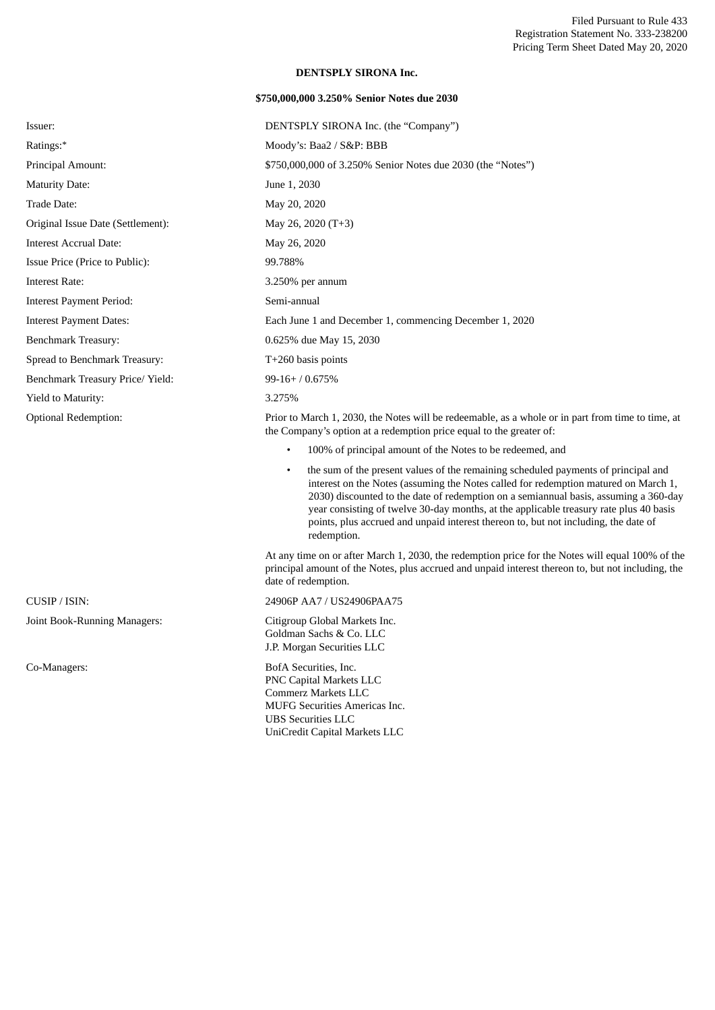## **DENTSPLY SIRONA Inc.**

## **\$750,000,000 3.250% Senior Notes due 2030**

| Issuer:                           | DENTSPLY SIRONA Inc. (the "Company")                                                                                                                                                                                                                                                                                                                                     |
|-----------------------------------|--------------------------------------------------------------------------------------------------------------------------------------------------------------------------------------------------------------------------------------------------------------------------------------------------------------------------------------------------------------------------|
| Ratings:*                         | Moody's: Baa2 / S&P: BBB                                                                                                                                                                                                                                                                                                                                                 |
| Principal Amount:                 | \$750,000,000 of 3.250% Senior Notes due 2030 (the "Notes")                                                                                                                                                                                                                                                                                                              |
| <b>Maturity Date:</b>             | June 1, 2030                                                                                                                                                                                                                                                                                                                                                             |
| Trade Date:                       | May 20, 2020                                                                                                                                                                                                                                                                                                                                                             |
| Original Issue Date (Settlement): | May 26, 2020 (T+3)                                                                                                                                                                                                                                                                                                                                                       |
| <b>Interest Accrual Date:</b>     | May 26, 2020                                                                                                                                                                                                                                                                                                                                                             |
| Issue Price (Price to Public):    | 99.788%                                                                                                                                                                                                                                                                                                                                                                  |
| <b>Interest Rate:</b>             | $3.250\%$ per annum                                                                                                                                                                                                                                                                                                                                                      |
| <b>Interest Payment Period:</b>   | Semi-annual                                                                                                                                                                                                                                                                                                                                                              |
| <b>Interest Payment Dates:</b>    | Each June 1 and December 1, commencing December 1, 2020                                                                                                                                                                                                                                                                                                                  |
| <b>Benchmark Treasury:</b>        | 0.625% due May 15, 2030                                                                                                                                                                                                                                                                                                                                                  |
| Spread to Benchmark Treasury:     | $T+260$ basis points                                                                                                                                                                                                                                                                                                                                                     |
| Benchmark Treasury Price/Yield:   | $99-16+ / 0.675%$                                                                                                                                                                                                                                                                                                                                                        |
| Yield to Maturity:                | 3.275%                                                                                                                                                                                                                                                                                                                                                                   |
| <b>Optional Redemption:</b>       | Prior to March 1, 2030, the Notes will be redeemable, as a whole or in part from time to time, at<br>the Company's option at a redemption price equal to the greater of:                                                                                                                                                                                                 |
|                                   | 100% of principal amount of the Notes to be redeemed, and                                                                                                                                                                                                                                                                                                                |
|                                   | the sum of the present values of the remaining scheduled payments of principal and<br>$\bullet$<br>interest on the Notes (assuming the Notes called for redemption matured on March 1,<br>2030) discounted to the date of redemption on a semiannual basis, assuming a 360-day<br>year consisting of twelve 30-day months, at the applicable treasury rate plus 40 basis |

redemption. At any time on or after March 1, 2030, the redemption price for the Notes will equal 100% of the principal amount of the Notes, plus accrued and unpaid interest thereon to, but not including, the date of redemption.

points, plus accrued and unpaid interest thereon to, but not including, the date of

CUSIP / ISIN: 24906P AA7 / US24906PAA75

Joint Book-Running Managers: Citigroup Global Markets Inc. Goldman Sachs & Co. LLC J.P. Morgan Securities LLC

Co-Managers: BofA Securities, Inc. PNC Capital Markets LLC Commerz Markets LLC MUFG Securities Americas Inc. UBS Securities LLC UniCredit Capital Markets LLC